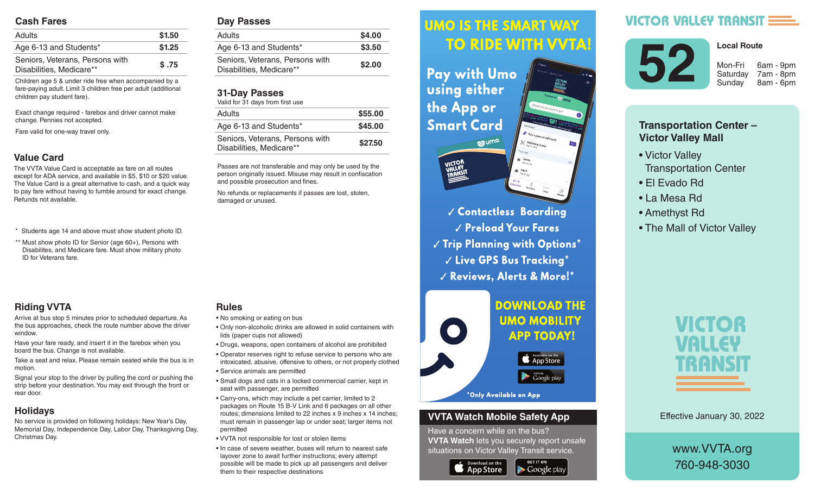#### **Cash Fares**

| <b>Adults</b>                                               | \$1.50 |
|-------------------------------------------------------------|--------|
| Age 6-13 and Students*                                      | \$1.25 |
| Seniors, Veterans, Persons with<br>Disabilities, Medicare** | \$.75  |

Children age 5 & under ride free when accompanied by a fare-paying adult. Limit 3 children free per adult (additional children pay student fare).

Exact change required - farebox and driver cannot make change. Pennies not accepted.

Fare valid for one-way travel only.

### **Value Card**

The VVTA Value Card is acceptable as fare on all routes except for ADA service, and available in \$5, \$10 or \$20 value. The Value Card is a great alternative to cash, and a quick way to pay fare without having to fumble around for exact change. Refunds not available.

- \* Students age 14 and above must show student photo ID.
- \*\* Must show photo ID for Senior (age 60+), Persons with Disabilites, and Medicare fare. Must show military photo ID for Veterans fare.

## **Riding VVTA**

Arrive at bus stop 5 minutes prior to scheduled departure. As the bus approaches, check the route number above the driver window.

Have your fare ready, and insert it in the farebox when you board the bus. Change is not available.

Take a seat and relax. Please remain seated while the bus is in motion.

Signal your stop to the driver by pulling the cord or pushing the strip before your destination. You may exit through the front or rear door.

### **Holidays**

No service is provided on following holidays: New Year's Day, Memorial Day, Independence Day, Labor Day, Thanksgiving Day, Christmas Day.

#### **Day Passes**

| Adults                                                      | \$4.00 |
|-------------------------------------------------------------|--------|
| Age 6-13 and Students*                                      | \$3.50 |
| Seniors, Veterans, Persons with<br>Disabilities, Medicare** | \$2.00 |
|                                                             |        |

#### **31-Day Passes**

| Valid for 31 days from first use                            |         |
|-------------------------------------------------------------|---------|
| Adults                                                      | \$55.00 |
| Age 6-13 and Students*                                      | \$45.00 |
| Seniors, Veterans, Persons with<br>Disabilities, Medicare** | \$27.50 |

Passes are not transferable and may only be used by the person originally issued. Misuse may result in confiscation and possible prosecution and fines.

No refunds or replacements if passes are lost, stolen, damaged or unused.

### **Rules**

- No smoking or eating on bus
- Only non-alcoholic drinks are allowed in solid containers with lids (paper cups not allowed)
- Drugs, weapons, open containers of alcohol are prohibited
- Operator reserves right to refuse service to persons who are intoxicated, abusive, offensive to others, or not properly clothed • Service animals are permitted
- Small dogs and cats in a locked commercial carrier, kept in seat with passenger, are permitted
- Carry-ons, which may include a pet carrier, limited to 2 packages on Route 15 B-V Link and 6 packages on all other routes; dimensions limited to 22 inches x 9 inches x 14 inches; must remain in passenger lap or under seat; larger items not permitted
- VVTA not responsible for lost or stolen items
- In case of severe weather, buses will return to nearest safe layover zone to await further instructions; every attempt possible will be made to pick up all passengers and deliver them to their respective destinations

#### *<u>UMO IS THE SMART WAY</u>* Arrive at bus stop 5 minutes prior to scheduled departure. As the bus approximation of the bus approximation of the bus approximation of the bus approximation route number above the driver window.

 $\mathbf{h}$  , and it is instructed in the farebox insert in the farebox  $\mathbf{h}$ **Fay with UMO AND SOLUTE:** Using either the bus is in motion.  $\mathbf{S}$  since the driver by pulling the driver by pulling the cord or  $\mathbf{S}$ **Smart Card** exit through the front or real documents of the front or real documents of the front or real documents of the front or real documents of the front or real documents of the front or real documents of the front or real docum



 *Contactless Boarding*  $\sqrt{\frac{P_{\text{rel}}}{P_{\text{rad}}}}$  Preload Your Fares  $\parallel$   $\parallel$   $\parallel$  rip rignning with Uptions  $\parallel$  $\sim$   $\sim$   $\sim$   $\sim$  CPS Rus Tracking  $^{\star}$ are intoxicated, abusive, offensive to others, or not properly V Reviews, Alerts & More!\*



#### **VVTA Watch Mobile Safety App**

Have a concern while on the bus? **VVTA Watch** lets you securely report unsafe situations on Victor Valley Transit service.

**GET IT ON** 

 $\blacktriangleright$  Google play



# **VICTOR VALLEY TRANSIT**



7am - 8pm

**Local Route**

8am - 6pm

## **Transportation Center – Victor Valley Mall**

- Victor Valley Transportation Center
- El Evado Rd
- La Mesa Rd
- Amethyst Rd
- The Mall of Victor Valley



Effective January 30, 2022

www.VVTA.org 760-948-3030